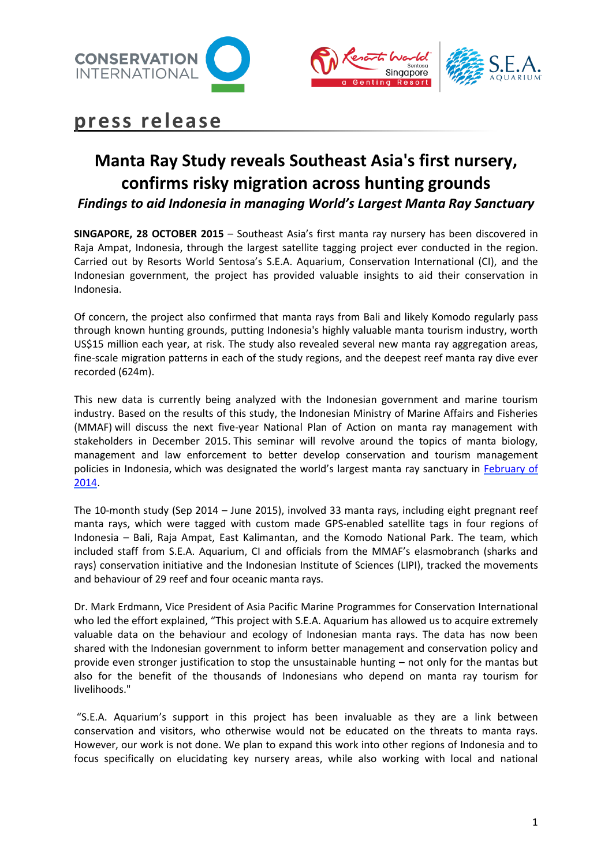





## **press release**

# **Manta Ray Study reveals Southeast Asia's first nursery, confirms risky migration across hunting grounds**

*Findings to aid Indonesia in managing World's Largest Manta Ray Sanctuary*

**SINGAPORE, 28 OCTOBER 2015** – Southeast Asia's first manta ray nursery has been discovered in Raja Ampat, Indonesia, through the largest satellite tagging project ever conducted in the region. Carried out by Resorts World Sentosa's S.E.A. Aquarium, Conservation International (CI), and the Indonesian government, the project has provided valuable insights to aid their conservation in Indonesia.

Of concern, the project also confirmed that manta rays from Bali and likely Komodo regularly pass through known hunting grounds, putting Indonesia's highly valuable manta tourism industry, worth US\$15 million each year, at risk. The study also revealed several new manta ray aggregation areas, fine-scale migration patterns in each of the study regions, and the deepest reef manta ray dive ever recorded (624m).

This new data is currently being analyzed with the Indonesian government and marine tourism industry. Based on the results of this study, the Indonesian Ministry of Marine Affairs and Fisheries (MMAF) will discuss the next five-year National Plan of Action on manta ray management with stakeholders in December 2015. This seminar will revolve around the topics of manta biology, management and law enforcement to better develop conservation and tourism management policies in Indonesia, which was designated the world's largest manta ray sanctuary in [February of](http://www.conservation.org/NewsRoom/pressreleases/Pages/Protecting-a-Million-Dollar-Fish-Indonesia-Declares-Largest-Manta-Ray-Sanctuary-in-the-World-to-Secure-Booming-Tourism-Indu.aspx)  [2014.](http://www.conservation.org/NewsRoom/pressreleases/Pages/Protecting-a-Million-Dollar-Fish-Indonesia-Declares-Largest-Manta-Ray-Sanctuary-in-the-World-to-Secure-Booming-Tourism-Indu.aspx)

The 10-month study (Sep 2014 – June 2015), involved 33 manta rays, including eight pregnant reef manta rays, which were tagged with custom made GPS-enabled satellite tags in four regions of Indonesia – Bali, Raja Ampat, East Kalimantan, and the Komodo National Park. The team, which included staff from S.E.A. Aquarium, CI and officials from the MMAF's elasmobranch (sharks and rays) conservation initiative and the Indonesian Institute of Sciences (LIPI), tracked the movements and behaviour of 29 reef and four oceanic manta rays.

Dr. Mark Erdmann, Vice President of Asia Pacific Marine Programmes for Conservation International who led the effort explained, "This project with S.E.A. Aquarium has allowed us to acquire extremely valuable data on the behaviour and ecology of Indonesian manta rays. The data has now been shared with the Indonesian government to inform better management and conservation policy and provide even stronger justification to stop the unsustainable hunting – not only for the mantas but also for the benefit of the thousands of Indonesians who depend on manta ray tourism for livelihoods."

"S.E.A. Aquarium's support in this project has been invaluable as they are a link between conservation and visitors, who otherwise would not be educated on the threats to manta rays. However, our work is not done. We plan to expand this work into other regions of Indonesia and to focus specifically on elucidating key nursery areas, while also working with local and national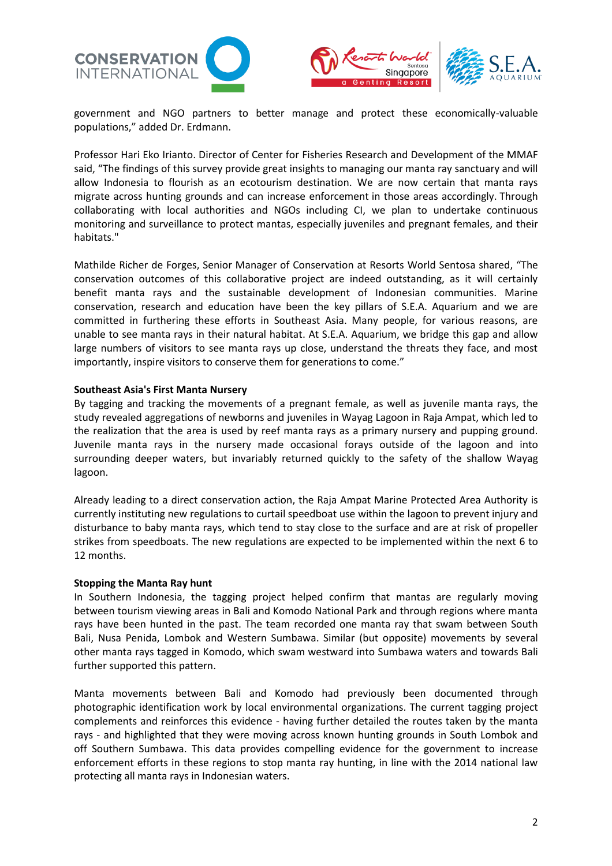



government and NGO partners to better manage and protect these economically-valuable populations," added Dr. Erdmann.

Professor Hari Eko Irianto. Director of Center for Fisheries Research and Development of the MMAF said, "The findings of this survey provide great insights to managing our manta ray sanctuary and will allow Indonesia to flourish as an ecotourism destination. We are now certain that manta rays migrate across hunting grounds and can increase enforcement in those areas accordingly. Through collaborating with local authorities and NGOs including CI, we plan to undertake continuous monitoring and surveillance to protect mantas, especially juveniles and pregnant females, and their habitats."

Mathilde Richer de Forges, Senior Manager of Conservation at Resorts World Sentosa shared, "The conservation outcomes of this collaborative project are indeed outstanding, as it will certainly benefit manta rays and the sustainable development of Indonesian communities. Marine conservation, research and education have been the key pillars of S.E.A. Aquarium and we are committed in furthering these efforts in Southeast Asia. Many people, for various reasons, are unable to see manta rays in their natural habitat. At S.E.A. Aquarium, we bridge this gap and allow large numbers of visitors to see manta rays up close, understand the threats they face, and most importantly, inspire visitors to conserve them for generations to come."

## **Southeast Asia's First Manta Nursery**

By tagging and tracking the movements of a pregnant female, as well as juvenile manta rays, the study revealed aggregations of newborns and juveniles in Wayag Lagoon in Raja Ampat, which led to the realization that the area is used by reef manta rays as a primary nursery and pupping ground. Juvenile manta rays in the nursery made occasional forays outside of the lagoon and into surrounding deeper waters, but invariably returned quickly to the safety of the shallow Wayag lagoon.

Already leading to a direct conservation action, the Raja Ampat Marine Protected Area Authority is currently instituting new regulations to curtail speedboat use within the lagoon to prevent injury and disturbance to baby manta rays, which tend to stay close to the surface and are at risk of propeller strikes from speedboats. The new regulations are expected to be implemented within the next 6 to 12 months.

#### **Stopping the Manta Ray hunt**

In Southern Indonesia, the tagging project helped confirm that mantas are regularly moving between tourism viewing areas in Bali and Komodo National Park and through regions where manta rays have been hunted in the past. The team recorded one manta ray that swam between South Bali, Nusa Penida, Lombok and Western Sumbawa. Similar (but opposite) movements by several other manta rays tagged in Komodo, which swam westward into Sumbawa waters and towards Bali further supported this pattern.

Manta movements between Bali and Komodo had previously been documented through photographic identification work by local environmental organizations. The current tagging project complements and reinforces this evidence - having further detailed the routes taken by the manta rays - and highlighted that they were moving across known hunting grounds in South Lombok and off Southern Sumbawa. This data provides compelling evidence for the government to increase enforcement efforts in these regions to stop manta ray hunting, in line with the 2014 national law protecting all manta rays in Indonesian waters.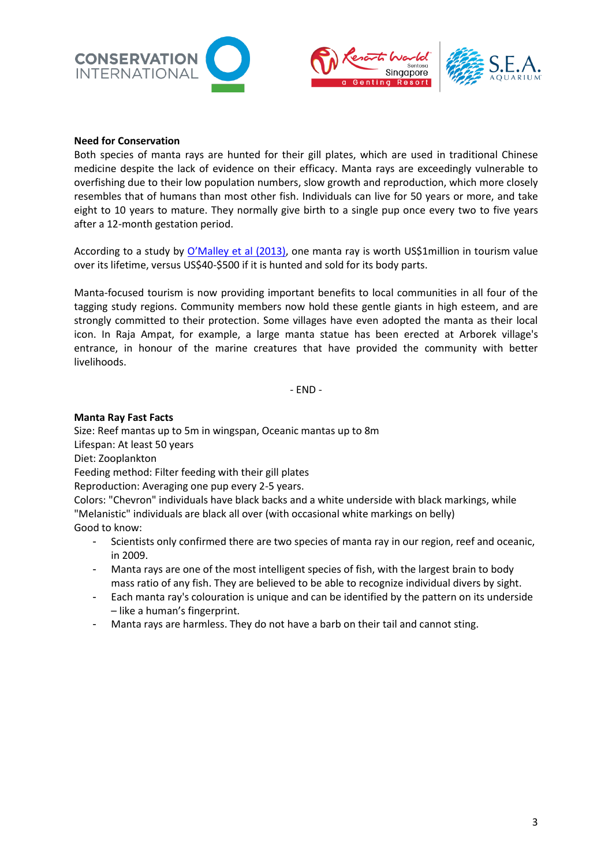





## **Need for Conservation**

Both species of manta rays are hunted for their gill plates, which are used in traditional Chinese medicine despite the lack of evidence on their efficacy. Manta rays are exceedingly vulnerable to overfishing due to their low population numbers, slow growth and reproduction, which more closely resembles that of humans than most other fish. Individuals can live for 50 years or more, and take eight to 10 years to mature. They normally give birth to a single pup once every two to five years after a 12-month gestation period.

According to a study by [O'Malley et al \(2013\)](http://journals.plos.org/plosone/article?id=10.1371/journal.pone.0065051), one manta ray is worth US\$1million in tourism value over its lifetime, versus US\$40-\$500 if it is hunted and sold for its body parts.

Manta-focused tourism is now providing important benefits to local communities in all four of the tagging study regions. Community members now hold these gentle giants in high esteem, and are strongly committed to their protection. Some villages have even adopted the manta as their local icon. In Raja Ampat, for example, a large manta statue has been erected at Arborek village's entrance, in honour of the marine creatures that have provided the community with better livelihoods.

- END -

## **Manta Ray Fast Facts**

Size: Reef mantas up to 5m in wingspan, Oceanic mantas up to 8m Lifespan: At least 50 years Diet: Zooplankton Feeding method: Filter feeding with their gill plates Reproduction: Averaging one pup every 2-5 years. Colors: "Chevron" individuals have black backs and a white underside with black markings, while "Melanistic" individuals are black all over (with occasional white markings on belly) Good to know:

- Scientists only confirmed there are two species of manta ray in our region, reef and oceanic, in 2009.
- Manta rays are one of the most intelligent species of fish, with the largest brain to body mass ratio of any fish. They are believed to be able to recognize individual divers by sight.
- Each manta ray's colouration is unique and can be identified by the pattern on its underside – like a human's fingerprint.
- Manta rays are harmless. They do not have a barb on their tail and cannot sting.